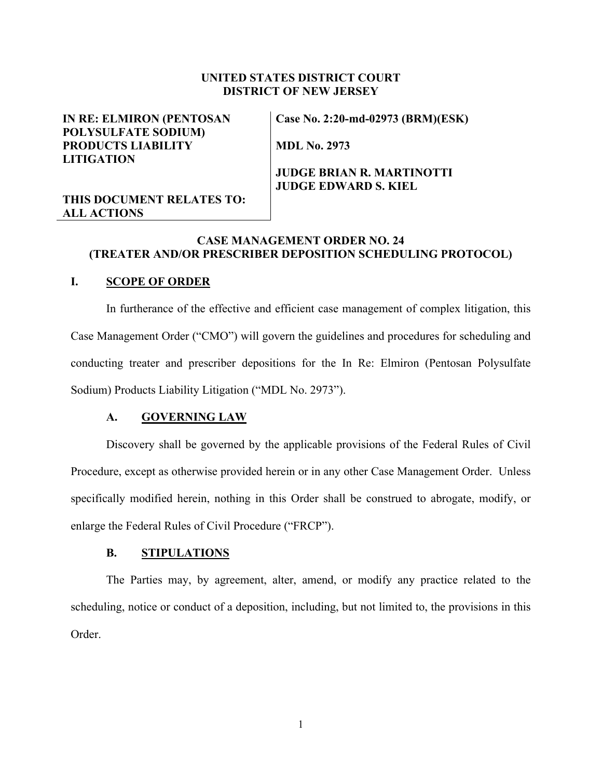### **UNITED STATES DISTRICT COURT DISTRICT OF NEW JERSEY**

## **IN RE: ELMIRON (PENTOSAN POLYSULFATE SODIUM) PRODUCTS LIABILITY LITIGATION**

**Case No. 2:20-md-02973 (BRM)(ESK)** 

**MDL No. 2973**

# **JUDGE BRIAN R. MARTINOTTI JUDGE EDWARD S. KIEL**

# **THIS DOCUMENT RELATES TO: ALL ACTIONS**

# **CASE MANAGEMENT ORDER NO. 24 (TREATER AND/OR PRESCRIBER DEPOSITION SCHEDULING PROTOCOL)**

# **I. SCOPE OF ORDER**

In furtherance of the effective and efficient case management of complex litigation, this Case Management Order ("CMO") will govern the guidelines and procedures for scheduling and conducting treater and prescriber depositions for the In Re: Elmiron (Pentosan Polysulfate Sodium) Products Liability Litigation ("MDL No. 2973").

#### **A. GOVERNING LAW**

Discovery shall be governed by the applicable provisions of the Federal Rules of Civil Procedure, except as otherwise provided herein or in any other Case Management Order. Unless specifically modified herein, nothing in this Order shall be construed to abrogate, modify, or enlarge the Federal Rules of Civil Procedure ("FRCP").

#### **B. STIPULATIONS**

The Parties may, by agreement, alter, amend, or modify any practice related to the scheduling, notice or conduct of a deposition, including, but not limited to, the provisions in this Order.

1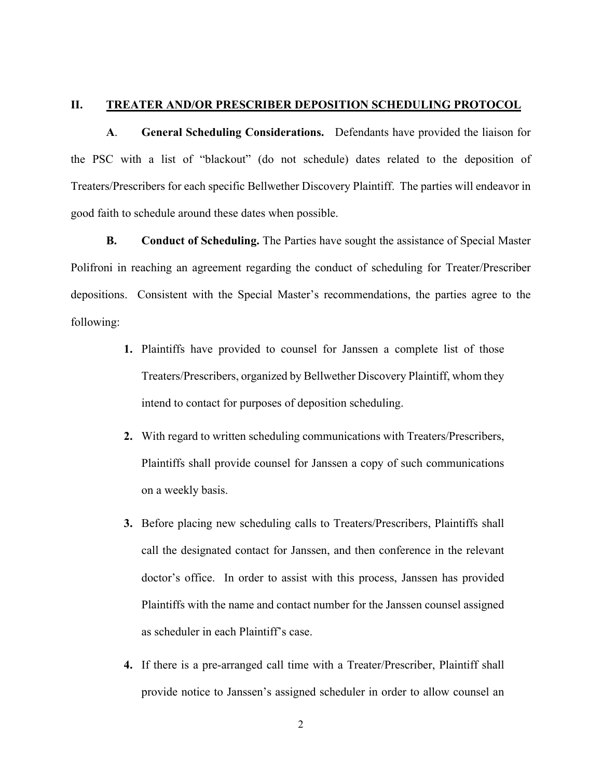#### **II. TREATER AND/OR PRESCRIBER DEPOSITION SCHEDULING PROTOCOL**

**A**. **General Scheduling Considerations.** Defendants have provided the liaison for the PSC with a list of "blackout" (do not schedule) dates related to the deposition of Treaters/Prescribers for each specific Bellwether Discovery Plaintiff. The parties will endeavor in good faith to schedule around these dates when possible.

**B. Conduct of Scheduling.** The Parties have sought the assistance of Special Master Polifroni in reaching an agreement regarding the conduct of scheduling for Treater/Prescriber depositions. Consistent with the Special Master's recommendations, the parties agree to the following:

- **1.** Plaintiffs have provided to counsel for Janssen a complete list of those Treaters/Prescribers, organized by Bellwether Discovery Plaintiff, whom they intend to contact for purposes of deposition scheduling.
- **2.** With regard to written scheduling communications with Treaters/Prescribers, Plaintiffs shall provide counsel for Janssen a copy of such communications on a weekly basis.
- **3.** Before placing new scheduling calls to Treaters/Prescribers, Plaintiffs shall call the designated contact for Janssen, and then conference in the relevant doctor's office. In order to assist with this process, Janssen has provided Plaintiffs with the name and contact number for the Janssen counsel assigned as scheduler in each Plaintiff's case.
- **4.** If there is a pre-arranged call time with a Treater/Prescriber, Plaintiff shall provide notice to Janssen's assigned scheduler in order to allow counsel an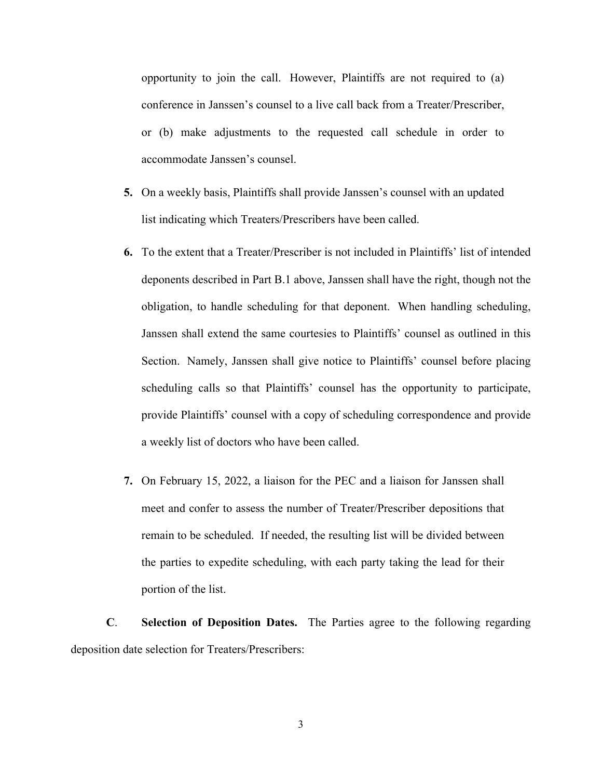opportunity to join the call. However, Plaintiffs are not required to (a) conference in Janssen's counsel to a live call back from a Treater/Prescriber, or (b) make adjustments to the requested call schedule in order to accommodate Janssen's counsel.

- **5.** On a weekly basis, Plaintiffs shall provide Janssen's counsel with an updated list indicating which Treaters/Prescribers have been called.
- **6.** To the extent that a Treater/Prescriber is not included in Plaintiffs' list of intended deponents described in Part B.1 above, Janssen shall have the right, though not the obligation, to handle scheduling for that deponent. When handling scheduling, Janssen shall extend the same courtesies to Plaintiffs' counsel as outlined in this Section. Namely, Janssen shall give notice to Plaintiffs' counsel before placing scheduling calls so that Plaintiffs' counsel has the opportunity to participate, provide Plaintiffs' counsel with a copy of scheduling correspondence and provide a weekly list of doctors who have been called.
- **7.** On February 15, 2022, a liaison for the PEC and a liaison for Janssen shall meet and confer to assess the number of Treater/Prescriber depositions that remain to be scheduled. If needed, the resulting list will be divided between the parties to expedite scheduling, with each party taking the lead for their portion of the list.

**C**. **Selection of Deposition Dates.** The Parties agree to the following regarding deposition date selection for Treaters/Prescribers:

3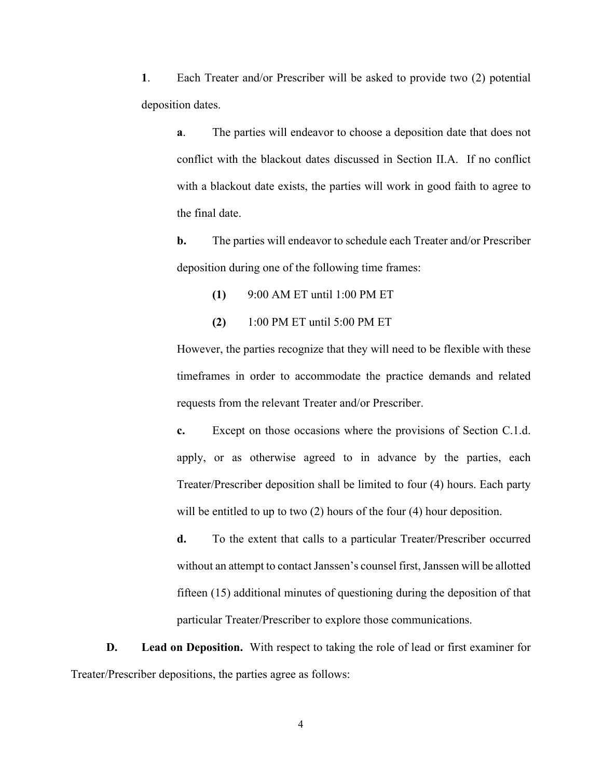**1**. Each Treater and/or Prescriber will be asked to provide two (2) potential deposition dates.

**a**. The parties will endeavor to choose a deposition date that does not conflict with the blackout dates discussed in Section II.A. If no conflict with a blackout date exists, the parties will work in good faith to agree to the final date.

**b.** The parties will endeavor to schedule each Treater and/or Prescriber deposition during one of the following time frames:

- **(1)** 9:00 AM ET until 1:00 PM ET
- **(2)** 1:00 PM ET until 5:00 PM ET

However, the parties recognize that they will need to be flexible with these timeframes in order to accommodate the practice demands and related requests from the relevant Treater and/or Prescriber.

**c.** Except on those occasions where the provisions of Section C.1.d. apply, or as otherwise agreed to in advance by the parties, each Treater/Prescriber deposition shall be limited to four (4) hours. Each party will be entitled to up to two (2) hours of the four (4) hour deposition.

**d.** To the extent that calls to a particular Treater/Prescriber occurred without an attempt to contact Janssen's counsel first, Janssen will be allotted fifteen (15) additional minutes of questioning during the deposition of that particular Treater/Prescriber to explore those communications.

**D. Lead on Deposition.** With respect to taking the role of lead or first examiner for Treater/Prescriber depositions, the parties agree as follows:

4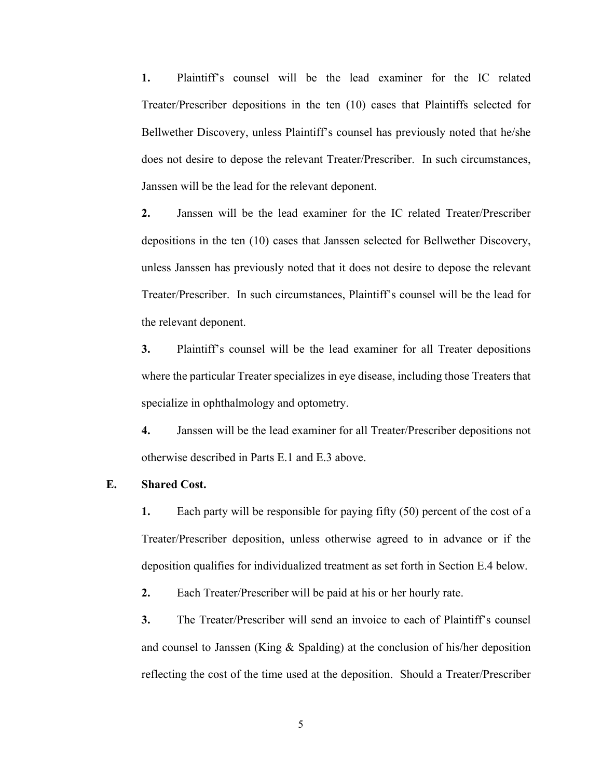**1.** Plaintiff's counsel will be the lead examiner for the IC related Treater/Prescriber depositions in the ten (10) cases that Plaintiffs selected for Bellwether Discovery, unless Plaintiff's counsel has previously noted that he/she does not desire to depose the relevant Treater/Prescriber. In such circumstances, Janssen will be the lead for the relevant deponent.

**2.** Janssen will be the lead examiner for the IC related Treater/Prescriber depositions in the ten (10) cases that Janssen selected for Bellwether Discovery, unless Janssen has previously noted that it does not desire to depose the relevant Treater/Prescriber. In such circumstances, Plaintiff's counsel will be the lead for the relevant deponent.

**3.** Plaintiff's counsel will be the lead examiner for all Treater depositions where the particular Treater specializes in eye disease, including those Treaters that specialize in ophthalmology and optometry.

**4.** Janssen will be the lead examiner for all Treater/Prescriber depositions not otherwise described in Parts E.1 and E.3 above.

#### **E. Shared Cost.**

**1.** Each party will be responsible for paying fifty (50) percent of the cost of a Treater/Prescriber deposition, unless otherwise agreed to in advance or if the deposition qualifies for individualized treatment as set forth in Section E.4 below.

**2.** Each Treater/Prescriber will be paid at his or her hourly rate.

**3.** The Treater/Prescriber will send an invoice to each of Plaintiff's counsel and counsel to Janssen (King & Spalding) at the conclusion of his/her deposition reflecting the cost of the time used at the deposition. Should a Treater/Prescriber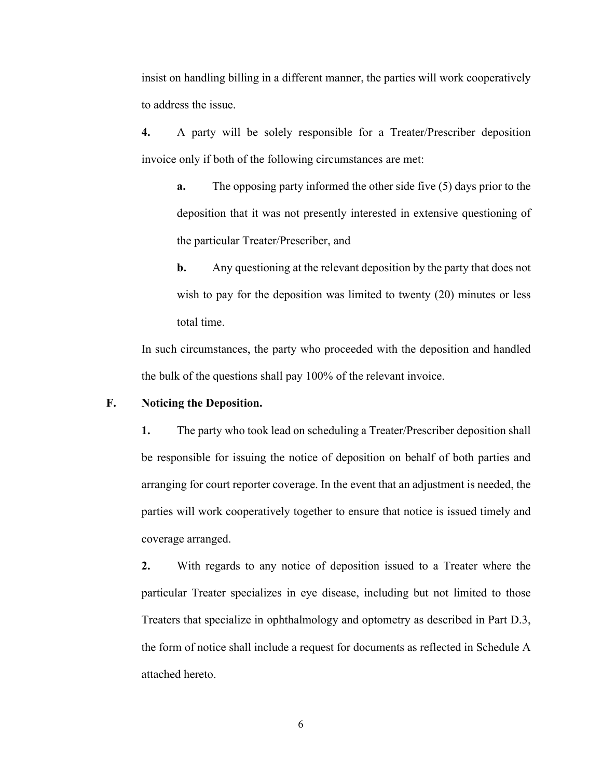insist on handling billing in a different manner, the parties will work cooperatively to address the issue.

**4.** A party will be solely responsible for a Treater/Prescriber deposition invoice only if both of the following circumstances are met:

**a.** The opposing party informed the other side five (5) days prior to the deposition that it was not presently interested in extensive questioning of the particular Treater/Prescriber, and

**b.** Any questioning at the relevant deposition by the party that does not wish to pay for the deposition was limited to twenty (20) minutes or less total time.

In such circumstances, the party who proceeded with the deposition and handled the bulk of the questions shall pay 100% of the relevant invoice.

### **F. Noticing the Deposition.**

**1.** The party who took lead on scheduling a Treater/Prescriber deposition shall be responsible for issuing the notice of deposition on behalf of both parties and arranging for court reporter coverage. In the event that an adjustment is needed, the parties will work cooperatively together to ensure that notice is issued timely and coverage arranged.

**2.** With regards to any notice of deposition issued to a Treater where the particular Treater specializes in eye disease, including but not limited to those Treaters that specialize in ophthalmology and optometry as described in Part D.3, the form of notice shall include a request for documents as reflected in Schedule A attached hereto.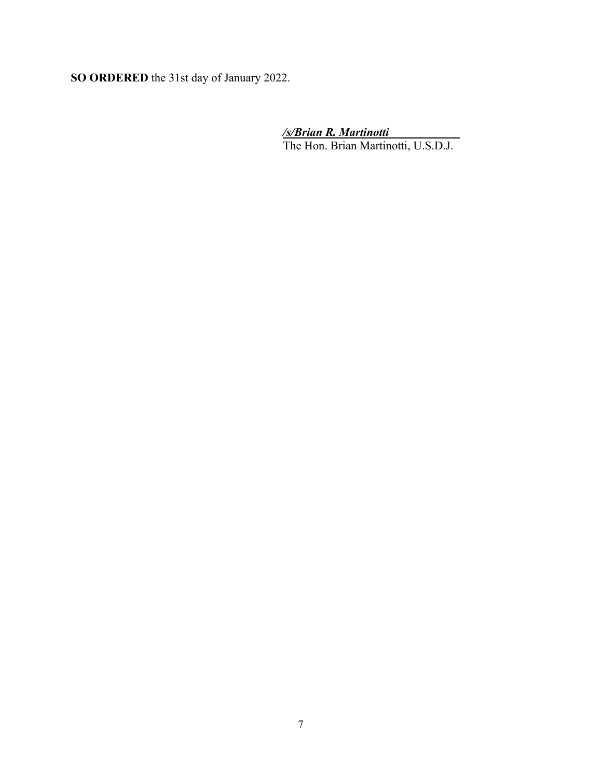**SO ORDERED** the 31st day of January 2022.

*/s/Brian R. Martinotti*

The Hon. Brian Martinotti, U.S.D.J.